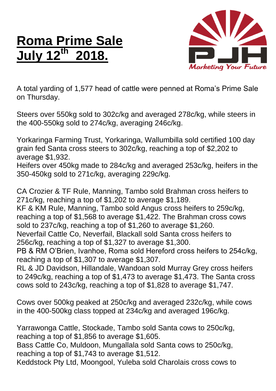## **Roma Prime Sale July 12 th 2018.**



A total yarding of 1,577 head of cattle were penned at Roma's Prime Sale on Thursday.

Steers over 550kg sold to 302c/kg and averaged 278c/kg, while steers in the 400-550kg sold to 274c/kg, averaging 246c/kg.

Yorkaringa Farming Trust, Yorkaringa, Wallumbilla sold certified 100 day grain fed Santa cross steers to 302c/kg, reaching a top of \$2,202 to average \$1,932.

Heifers over 450kg made to 284c/kg and averaged 253c/kg, heifers in the 350-450kg sold to 271c/kg, averaging 229c/kg.

CA Crozier & TF Rule, Manning, Tambo sold Brahman cross heifers to 271c/kg, reaching a top of \$1,202 to average \$1,189.

KF & KM Rule, Manning, Tambo sold Angus cross heifers to 259c/kg, reaching a top of \$1,568 to average \$1,422. The Brahman cross cows sold to 237c/kg, reaching a top of \$1,260 to average \$1,260.

Neverfail Cattle Co, Neverfail, Blackall sold Santa cross heifers to 256c/kg, reaching a top of \$1,327 to average \$1,300.

PB & RM O'Brien, Ivanhoe, Roma sold Hereford cross heifers to 254c/kg, reaching a top of \$1,307 to average \$1,307.

RL & JD Davidson, Hillandale, Wandoan sold Murray Grey cross heifers to 249c/kg, reaching a top of \$1,473 to average \$1,473. The Santa cross cows sold to 243c/kg, reaching a top of \$1,828 to average \$1,747.

Cows over 500kg peaked at 250c/kg and averaged 232c/kg, while cows in the 400-500kg class topped at 234c/kg and averaged 196c/kg.

Yarrawonga Cattle, Stockade, Tambo sold Santa cows to 250c/kg, reaching a top of \$1,856 to average \$1,605. Bass Cattle Co, Muldoon, Mungallala sold Santa cows to 250c/kg, reaching a top of \$1,743 to average \$1,512. Keddstock Pty Ltd, Moongool, Yuleba sold Charolais cross cows to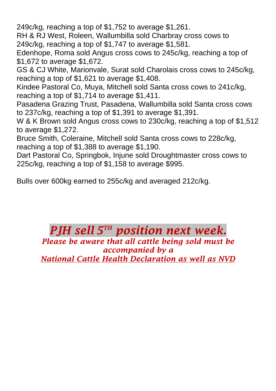249c/kg, reaching a top of \$1,752 to average \$1,261.

RH & RJ West, Roleen, Wallumbilla sold Charbray cross cows to 249c/kg, reaching a top of \$1,747 to average \$1,581.

Edenhope, Roma sold Angus cross cows to 245c/kg, reaching a top of \$1,672 to average \$1,672.

GS & CJ White, Marionvale, Surat sold Charolais cross cows to 245c/kg, reaching a top of \$1,621 to average \$1,408.

Kindee Pastoral Co, Muya, Mitchell sold Santa cross cows to 241c/kg, reaching a top of \$1,714 to average \$1,411.

Pasadena Grazing Trust, Pasadena, Wallumbilla sold Santa cross cows to 237c/kg, reaching a top of \$1,391 to average \$1,391.

W & K Brown sold Angus cross cows to 230c/kg, reaching a top of \$1,512 to average \$1,272.

Bruce Smith, Coleraine, Mitchell sold Santa cross cows to 228c/kg, reaching a top of \$1,388 to average \$1,190.

Dart Pastoral Co, Springbok, Injune sold Droughtmaster cross cows to 225c/kg, reaching a top of \$1,158 to average \$995.

Bulls over 600kg earned to 255c/kg and averaged 212c/kg.

## *PJH sell* **5<sup>TH</sup> position next week.** *Please be aware that all cattle being sold must be accompanied by a*

*National Cattle Health Declaration as well as NVD*